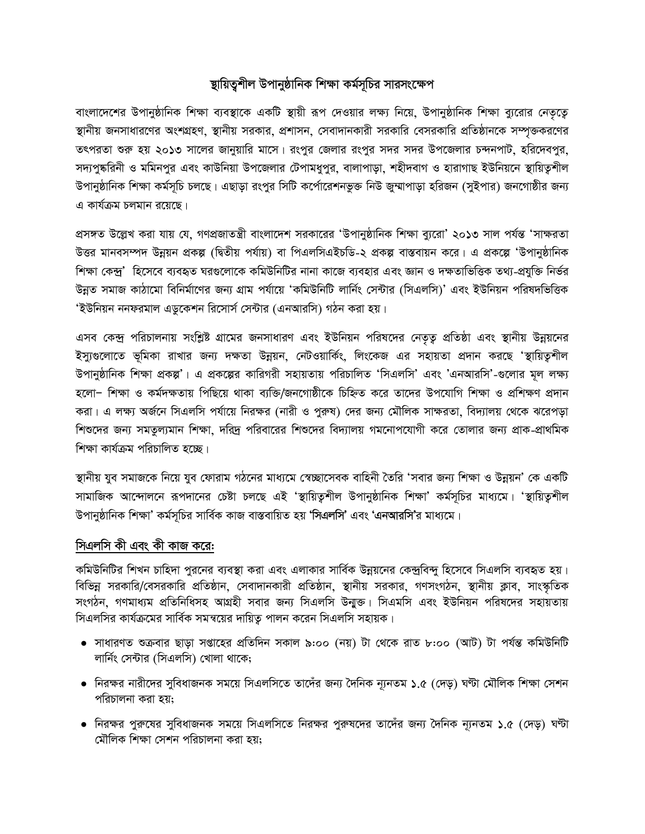## স্থায়িতুশীল উপানুষ্ঠানিক শিক্ষা কর্মসূচির সারসংক্ষেপ

বাংলাদেশের উপানুষ্ঠানিক শিক্ষা ব্যবস্থাকে একটি স্থায়ী রূপ দেওয়ার লক্ষ্য নিয়ে, উপানুষ্ঠানিক শিক্ষা ব্যুরোর নেতৃত্বে স্থানীয় জনসাধারণের অংশগ্রহণ, স্থানীয় সরকার, প্রশাসন, সেবাদানকারী সরকারি বেসরকারি প্রতিষ্ঠানকে সম্পৃক্তকরণের তৎপরতা শুরু হয় ২০১৩ সালের জানুয়ারি মাসে। রংপুর জেলার রংপুর সদর সদর উপজেলার চন্দনপাট, হরিদেবপুর, সদ্যপুষ্করিনী ও মমিনপুর এবং কাউনিয়া উপজেলার টেপামধুপুর, বালাপাড়া, শহীদবাগ ও হারাগাছ ইউনিয়নে স্থায়িতুশীল উপানুষ্ঠানিক শিক্ষা কর্মসূচি চলছে। এছাড়া রংপুর সিটি কর্পোরেশনভুক্ত নিউ জ্রম্মাপাড়া হরিজন (সুইপার) জনগোষ্ঠীর জন্য এ কার্যক্রম চলমান রয়েছে।

প্রসঙ্গত উল্লেখ করা যায় যে, গণপ্রজাতন্ত্রী বাংলাদেশ সরকারের 'উপানুষ্ঠানিক শিক্ষা ব্যুরো' ২০১৩ সাল পর্যন্ত 'সাক্ষরতা উত্তর মানবসম্পদ উন্নয়ন প্রকল্প (দ্বিতীয় পর্যায়) বা পিএলসিএইচডি-২ প্রকল্প বাস্তবায়ন করে। এ প্রকল্পে 'উপানুষ্ঠানিক শিক্ষা কেন্দ্র' হিসেবে ব্যবহৃত ঘরগুলোকে কমিউনিটির নানা কাজে ব্যবহার এবং জ্ঞান ও দক্ষতাভিত্তিক তথ্য-প্রযুক্তি নির্ভর উন্নত সমাজ কাঠামো বিনির্মাণের জন্য গ্রাম পর্যায়ে 'কমিউনিটি লার্নিং সেন্টার (সিএলসি)' এবং ইউনিয়ন পরিষদভিত্তিক 'ইউনিয়ন ননফরমাল এডকেশন রিসোর্স সেন্টার (এনআরসি) গঠন করা হয়।

এসব কেন্দ্র পরিচালনায় সংশ্লিষ্ট গ্রামের জনসাধারণ এবং ইউনিয়ন পরিষদের নেতৃত্ব প্রতিষ্ঠা এবং স্থানীয় উন্নয়নের ইস্যুগুলোতে ভূমিকা রাখার জন্য দক্ষতা উন্নয়ন, নেটওয়ার্কিং, লিংকেজ এর সহায়তা প্রদান করছে 'স্থায়িতুশীল উপানুষ্ঠানিক শিক্ষা প্রকল্প'। এ প্রকল্পের কারিগরী সহায়তায় পরিচালিত 'সিএলসি' এবং 'এনআরসি'-গুলোর মূল লক্ষ্য হলো– শিক্ষা ও কর্মদক্ষতায় পিছিয়ে থাকা ব্যক্তি/জনগোষ্ঠীকে চিহ্নিত করে তাদের উপযোগি শিক্ষা ও প্রশিক্ষণ প্রদান করা। এ লক্ষ্য অর্জনে সিএলসি পর্যায়ে নিরক্ষর (নারী ও পুরুষ) দের জন্য মৌলিক সাক্ষরতা, বিদ্যালয় থেকে ঝরেপড়া শিশুদের জন্য সমতূল্যমান শিক্ষা, দরিদ পরিবারের শিশুদের বিদ্যালয় গমনোপযোগী করে তোলার জন্য প্রাক-প্রাথমিক শিক্ষা কাৰ্যক্ৰম পৱিচালিত হচ্ছে।

স্থানীয় যুব সমাজকে নিয়ে যুব ফোরাম গঠনের মাধ্যমে স্বেচ্ছাসেবক বাহিনী তৈরি 'সবার জন্য শিক্ষা ও উন্নয়ন' কে একটি সামাজিক আন্দোলনে রূপদানের চেষ্টা চলছে এই 'স্থায়িতুশীল উপানুষ্ঠানিক শিক্ষা' কর্মসূচির মাধ্যমে। 'স্থায়িতুশীল উপানুষ্ঠানিক শিক্ষা' কর্মসূচির সার্বিক কাজ বাস্তবায়িত হয় 'সিএলসি' এবং 'এনআরসি'র মাধ্যমে।

## সিএলসি কী এবং কী কাজ করে:

কমিউনিটির শিখন চাহিদা পুরনের ব্যবস্থা করা এবং এলাকার সার্বিক উন্নয়নের কেন্দ্রবিন্দু হিসেবে সিএলসি ব্যবহৃত হয়। বিভিন্ন সরকারি/বেসরকারি প্রতিষ্ঠান, সেবাদানকারী প্রতিষ্ঠান, স্থানীয় সরকার, গণসংগঠন, স্থানীয় ক্লাব, সাংস্কৃতিক সংগঠন, গণমাধ্যম প্রতিনিধিসহ আগ্রহী সবার জন্য সিএলসি উন্মুক্ত। সিএমসি এবং ইউনিয়ন পরিষদের সহায়তায় সিএলসির কার্যক্রমের সার্বিক সমন্বয়ের দায়িত্ব পালন করেন সিএলসি সহায়ক।

- সাধারণত শুক্রবার ছাড়া সপ্তাহের প্রতিদিন সকাল ৯:০০ (নয়) টা থেকে রাত ৮:০০ (আট) টা পর্যন্ত কমিউনিটি লার্নিং সেন্টার (সিএলসি) খোলা থাকে;
- নিরক্ষর নারীদের সুবিধাজনক সময়ে সিএলসিতে তাদেঁর জন্য দৈনিক ন্যূনতম ১.৫ (দেড়) ঘণ্টা মৌলিক শিক্ষা সেশন পরিচালনা করা হয়;
- নিরক্ষর পুরুষের সুবিধাজনক সময়ে সিএলসিতে নিরক্ষর পুরুষদের তাদেঁর জন্য দৈনিক ন্যূনতম ১.৫ (দেড়) ঘণ্টা মৌলিক শিক্ষা সেশন পরিচালনা করা হয়;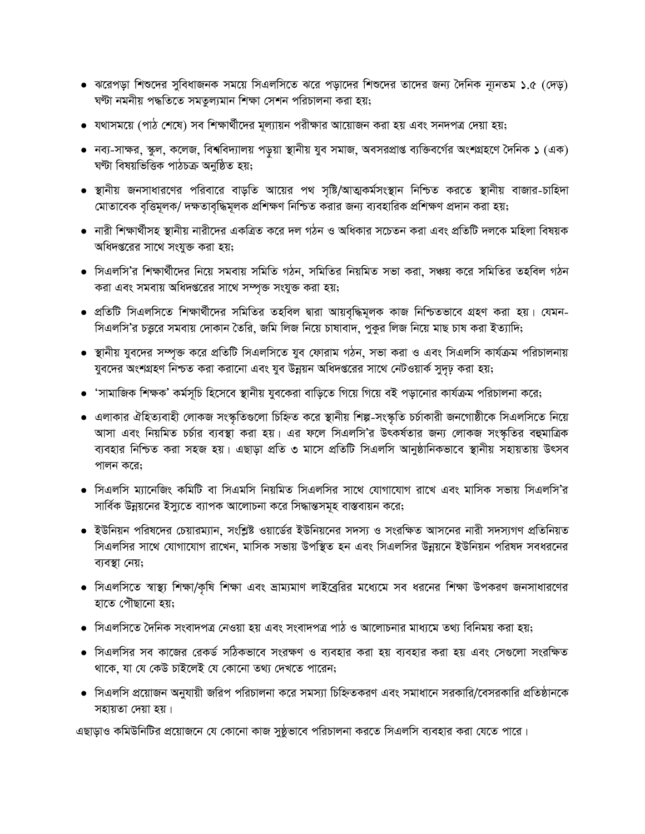- ঝরেপড়া শিশুদের সুবিধাজনক সময়ে সিএলসিতে ঝরে পড়াদের শিশুদের তাদের জন্য দৈনিক ন্যূনতম ১.৫ (দেড়) ঘণ্টা নমনীয় পদ্ধতিতে সমতুল্যমান শিক্ষা সেশন পরিচালনা করা হয়;
- যথাসময়ে (পাঠ শেষে) সব শিক্ষার্থীদের মূল্যায়ন পরীক্ষার আয়োজন করা হয় এবং সনদপত্র দেয়া হয়;
- নব্য-সাক্ষর, স্কুল, কলেজ, বিশ্ববিদ্যালয় পড়ুয়া স্থানীয় যুব সমাজ, অবসরপ্রাপ্ত ব্যক্তিবর্গের অংশগ্রহণে দৈনিক ১ (এক) ঘণ্টা বিষয়ভিত্তিক পাঠচক্ৰ অনুষ্ঠিত হয়;
- স্থানীয় জনসাধারণের পরিবারে বাড়তি আয়ের পথ সৃষ্টি/আত্মকর্মসংস্থান নিশ্চিত করতে স্থানীয় বাজার-চাহিদা মোতাবেক বৃত্তিমূলক/ দক্ষতাবৃদ্ধিমূলক প্রশিক্ষণ নিশ্চিত করার জন্য ব্যবহারিক প্রশিক্ষণ প্রদান করা হয়;
- নারী শিক্ষার্থীসহ স্থানীয় নারীদের একত্রিত করে দল গঠন ও অধিকার সচেতন করা এবং প্রতিটি দলকে মহিলা বিষয়ক অধিদপ্তরের সাথে সংযুক্ত করা হয়;
- সিএলসি'র শিক্ষার্থীদের নিয়ে সমবায় সমিতি গঠন, সমিতির নিয়মিত সভা করা, সঞ্চয় করে সমিতির তহবিল গঠন করা এবং সমবায় অধিদপ্তরের সাথে সম্পৃক্ত সংযুক্ত করা হয়;
- প্রতিটি সিএলসিতে শিক্ষার্থীদের সমিতির তহবিল দ্বারা আয়বৃদ্ধিমূলক কাজ নিশ্চিতভাবে গ্রহণ করা হয়। যেমন-সিএলসি'র চত্তুরে সমবায় দোকান তৈরি, জমি লিজ নিয়ে চাষাবাদ, পুকুর লিজ নিয়ে মাছ চাষ করা ইত্যাদি;
- স্থানীয় যুবদের সম্পৃক্ত করে প্রতিটি সিএলসিতে যুব ফোরাম গঠন, সভা করা ও এবং সিএলসি কার্যক্রম পরিচালনায় যুবদের অংশগ্রহণ নিশ্চত করা করানো এবং যুব উন্নয়ন অধিদপ্তরের সাথে নেটওয়ার্ক সুদৃঢ় করা হয়;
- 'সামাজিক শিক্ষক' কর্মসূচি হিসেবে স্থানীয় যুবকেরা বাড়িতে গিয়ে গিয়ে বই পড়ানোর কার্যক্রম পরিচালনা করে;
- এলাকার ঐহিত্যবাহী লোকজ সংস্কৃতিগুলো চিহ্নিত করে স্থানীয় শিল্প-সংস্কৃতি চর্চাকারী জনগোষ্ঠীকে সিএলসিতে নিয়ে আসা এবং নিয়মিত চর্চার ব্যবস্থা করা হয়। এর ফলে সিএলসি'র উৎকর্ষতার জন্য লোকজ সংস্কৃতির বহুমাত্রিক ব্যবহার নিশ্চিত করা সহজ হয়। এছাড়া প্রতি ৩ মাসে প্রতিটি সিএলসি আনুষ্ঠানিকভাবে স্থানীয় সহায়তায় উৎসব পালন করে:
- সিএলসি ম্যানেজিং কমিটি বা সিএমসি নিয়মিত সিএলসির সাথে যোগাযোগ রাখে এবং মাসিক সভায় সিএলসি'র সার্বিক উন্নয়নের ইস্যুতে ব্যাপক আলোচনা করে সিদ্ধান্তসমূহ বাস্তবায়ন করে;
- ইউনিয়ন পরিষদের চেয়ারম্যান, সংশ্লিষ্ট ওয়ার্ডের ইউনিয়নের সদস্য ও সংরক্ষিত আসনের নারী সদস্যগণ প্রতিনিয়ত সিএলসির সাথে যোগাযোগ রাখেন, মাসিক সভায় উপস্থিত হন এবং সিএলসির উন্নয়নে ইউনিয়ন পরিষদ সবধরনের ব্যবস্থা নেয়;
- সিএলসিতে স্বাস্থ্য শিক্ষা/কৃষি শিক্ষা এবং ভ্রাম্যমাণ লাইব্রেরির মধ্যেমে সব ধরনের শিক্ষা উপকরণ জনসাধারণের হাতে পৌছানো হয়;
- সিএলসিতে দৈনিক সংবাদপত্র নেওয়া হয় এবং সংবাদপত্র পাঠ ও আলোচনার মাধ্যমে তথ্য বিনিময় করা হয়;
- সিএলসির সব কাজের রেকর্ড সঠিকভাবে সংরক্ষণ ও ব্যবহার করা হয় ব্যবহার করা হয় এবং সেগুলো সংরক্ষিত থাকে, যা যে কেউ চাইলেই যে কোনো তথ্য দেখতে পারেন;
- সিএলসি প্রয়োজন অনুযায়ী জরিপ পরিচালনা করে সমস্যা চিহ্নিতকরণ এবং সমাধানে সরকারি/বেসরকারি প্রতিষ্ঠানকে সহায়তা দেয়া হয়।

এছাড়াও কমিউনিটির প্রয়োজনে যে কোনো কাজ সুষ্ঠূভাবে পরিচালনা করতে সিএলসি ব্যবহার করা যেতে পারে।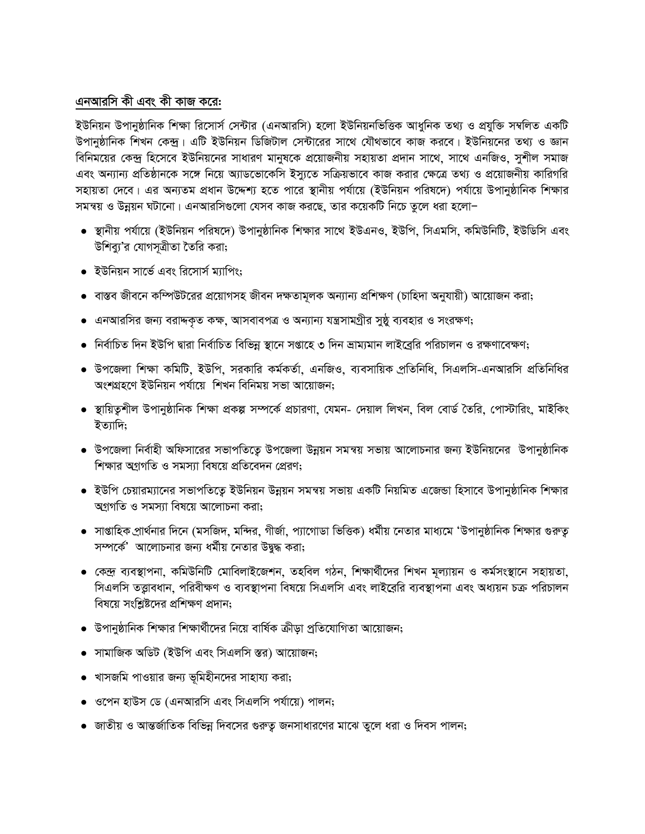## এনআরসি কী এবং কী কাজ করে:

ইউনিয়ন উপানুষ্ঠানিক শিক্ষা রিসোর্স সেন্টার (এনআরসি) হলো ইউনিয়নভিত্তিক আধুনিক তথ্য ও প্রযুক্তি সম্বলিত একটি উপানুষ্ঠানিক শিখন কেন্দ্র। এটি ইউনিয়ন ডিজিটাল সেন্টারের সাথে যৌথভাবে কাজ করবে। ইউনিয়নের তথ্য ও জ্ঞান বিনিময়ের কেন্দ্র হিসেবে ইউনিয়নের সাধারণ মানুষকে প্রয়োজনীয় সহায়তা প্রদান সাথে, সাথে এনজিও, সুশীল সমাজ এবং অন্যান্য প্রতিষ্ঠানকে সঙ্গে নিয়ে অ্যাডভোকেসি ইস্যুতে সক্রিয়ভাবে কাজ করার ক্ষেত্রে তথ্য ও প্রয়োজনীয় কারিগরি সহায়তা দেবে। এর অন্যতম প্রধান উদ্দেশ্য হতে পারে স্থানীয় পর্যায়ে (ইউনিয়ন পরিষদে) পর্যায়ে উপানুষ্ঠানিক শিক্ষার সমন্বয় ও উন্নয়ন ঘটানো। এনআরসিগুলো যেসব কাজ করছে, তার কয়েকটি নিচে তুলে ধরা হলো–

- স্থানীয় পর্যায়ে (ইউনিয়ন পরিষদে) উপানুষ্ঠানিক শিক্ষার সাথে ইউএনও, ইউপি, সিএমসি, কমিউনিটি, ইউডিসি এবং উশিব্যু'র যোগসূত্রীতা তৈরি করা;
- ইউনিয়ন সার্ভে এবং রিসোর্স ম্যাপিং;
- বাস্তব জীবনে কম্পিউটরের প্রয়োগসহ জীবন দক্ষতামূলক অন্যান্য প্রশিক্ষণ (চাহিদা অনুযায়ী) আয়োজন করা;
- এনআরসির জন্য বরাদ্দকৃত কক্ষ, আসবাবপত্র ও অন্যান্য যন্ত্রসামগ্রীর সুষ্ঠু ব্যবহার ও সংরক্ষণ;
- নির্বাচিত দিন ইউপি দ্বারা নির্বাচিত বিভিন্ন স্থানে সপ্তাহে ৩ দিন ভ্রাম্যমান লাইব্রেরি পরিচালন ও রক্ষণাবেক্ষণ;
- উপজেলা শিক্ষা কমিটি, ইউপি, সরকারি কর্মকর্তা, এনজিও, ব্যবসায়িক প্রতিনিধি, সিএলসি-এনআরসি প্রতিনিধির অংশগ্ৰহণে ইউনিয়ন পৰ্যায়ে শিখন বিনিময় সভা আয়োজন;
- স্থায়িতৃশীল উপানুষ্ঠানিক শিক্ষা প্ৰকল্প সম্পৰ্কে প্ৰচাৱণা, যেমন- দেয়াল লিখন, বিল বোৰ্ড তৈরি, পোস্টারিং, মাইকিং ইত্যাদি;
- উপজেলা নির্বাহী অফিসারের সভাপতিতে উপজেলা উন্নয়ন সমন্বয় সভায় আলোচনার জন্য ইউনিয়নের উপানুষ্ঠানিক শিক্ষার অগগতি ও সমস্যা বিষয়ে প্রতিবেদন প্রেরণ:
- ইউপি চেয়ারম্যানের সভাপতিতে ইউনিয়ন উন্নয়ন সমন্বয় সভায় একটি নিয়মিত এজেন্ডা হিসাবে উপানুষ্ঠানিক শিক্ষার অগগতি ও সমস্যা বিষয়ে আলোচনা করা;
- সাপ্তাহিক প্রার্থনার দিনে (মসজিদ, মন্দির, গীর্জা, প্যাগোডা ভিত্তিক) ধর্মীয় নেতার মাধ্যমে 'উপানুষ্ঠানিক শিক্ষার গুরুতূ সম্পর্কে' আলোচনার জন্য ধর্মীয় নেতার উদ্বদ্ধ করা;
- কেন্দ্র ব্যবস্থাপনা, কমিউনিটি মোবিলাইজেশন, তহবিল গঠন, শিক্ষার্থীদের শিখন মূল্যায়ন ও কর্মসংস্থানে সহায়তা, সিএলসি তত্তাবধান, পরিবীক্ষণ ও ব্যবস্থাপনা বিষয়ে সিএলসি এবং লাইরেরি ব্যবস্থাপনা এবং অধ্যয়ন চক্র পরিচালন বিষয়ে সংশ্লিষ্টদের প্রশিক্ষণ প্রদান;
- উপানুষ্ঠানিক শিক্ষার শিক্ষার্থীদের নিয়ে বার্ষিক ক্রীডা প্রতিযোগিতা আয়োজন;
- সামাজিক অডিট (ইউপি এবং সিএলসি স্তর) আয়োজন;
- খাসজমি পাওয়ার জন্য ভূমিহীনদের সাহায্য করা;
- ওপেন হাউস ডে (এনআরসি এবং সিএলসি পর্যায়ে) পালন;
- জাতীয় ও আন্তর্জাতিক বিভিন্ন দিবসের গুরুতু জনসাধারণের মাঝে তুলে ধরা ও দিবস পালন;